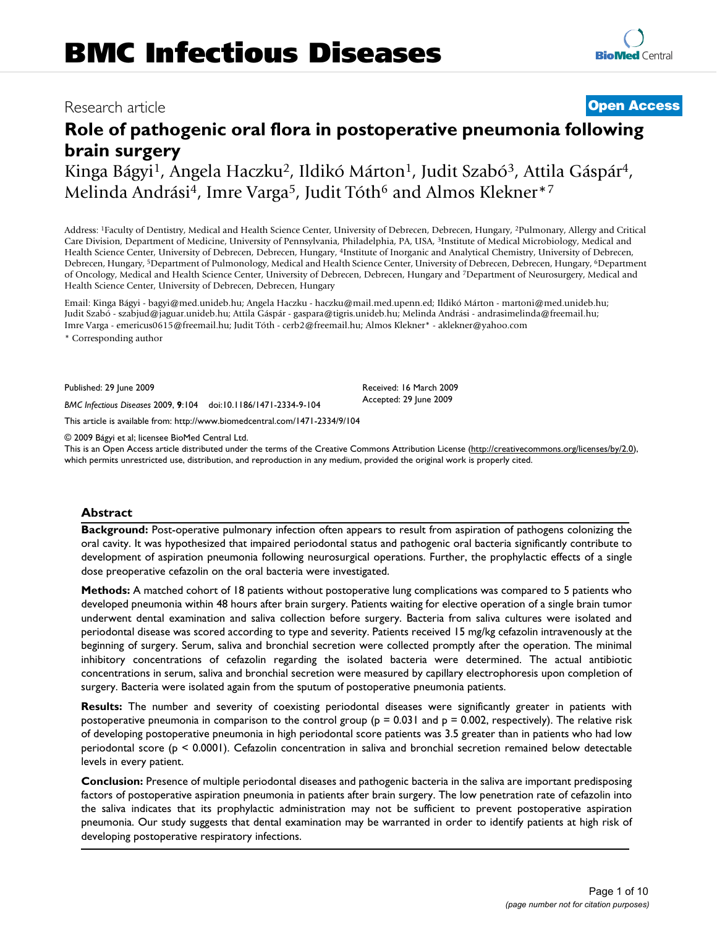# Research article **[Open Access](http://www.biomedcentral.com/info/about/charter/)**

# **Role of pathogenic oral flora in postoperative pneumonia following brain surgery**

Kinga Bágyi<sup>1</sup>, Angela Haczku<sup>2</sup>, Ildikó Márton<sup>1</sup>, Judit Szabó<sup>3</sup>, Attila Gáspár<sup>4</sup>, Melinda Andrási<sup>4</sup>, Imre Varga<sup>5</sup>, Judit Tóth<sup>6</sup> and Almos Klekner\*<sup>7</sup>

Address: 1Faculty of Dentistry, Medical and Health Science Center, University of Debrecen, Debrecen, Hungary, 2Pulmonary, Allergy and Critical Care Division, Department of Medicine, University of Pennsylvania, Philadelphia, PA, USA, 3Institute of Medical Microbiology, Medical and Health Science Center, University of Debrecen, Debrecen, Hungary, 4Institute of Inorganic and Analytical Chemistry, University of Debrecen, Debrecen, Hungary, 5Department of Pulmonology, Medical and Health Science Center, University of Debrecen, Debrecen, Hungary, 6Department of Oncology, Medical and Health Science Center, University of Debrecen, Debrecen, Hungary and 7Department of Neurosurgery, Medical and Health Science Center, University of Debrecen, Debrecen, Hungary

Email: Kinga Bágyi - bagyi@med.unideb.hu; Angela Haczku - haczku@mail.med.upenn.ed; Ildikó Márton - martoni@med.unideb.hu; Judit Szabó - szabjud@jaguar.unideb.hu; Attila Gáspár - gaspara@tigris.unideb.hu; Melinda Andrási - andrasimelinda@freemail.hu; Imre Varga - emericus0615@freemail.hu; Judit Tóth - cerb2@freemail.hu; Almos Klekner\* - aklekner@yahoo.com

\* Corresponding author

Published: 29 June 2009

*BMC Infectious Diseases* 2009, **9**:104 doi:10.1186/1471-2334-9-104

[This article is available from: http://www.biomedcentral.com/1471-2334/9/104](http://www.biomedcentral.com/1471-2334/9/104)

© 2009 Bágyi et al; licensee BioMed Central Ltd.

This is an Open Access article distributed under the terms of the Creative Commons Attribution License [\(http://creativecommons.org/licenses/by/2.0\)](http://creativecommons.org/licenses/by/2.0), which permits unrestricted use, distribution, and reproduction in any medium, provided the original work is properly cited.

#### **Abstract**

**Background:** Post-operative pulmonary infection often appears to result from aspiration of pathogens colonizing the oral cavity. It was hypothesized that impaired periodontal status and pathogenic oral bacteria significantly contribute to development of aspiration pneumonia following neurosurgical operations. Further, the prophylactic effects of a single dose preoperative cefazolin on the oral bacteria were investigated.

**Methods:** A matched cohort of 18 patients without postoperative lung complications was compared to 5 patients who developed pneumonia within 48 hours after brain surgery. Patients waiting for elective operation of a single brain tumor underwent dental examination and saliva collection before surgery. Bacteria from saliva cultures were isolated and periodontal disease was scored according to type and severity. Patients received 15 mg/kg cefazolin intravenously at the beginning of surgery. Serum, saliva and bronchial secretion were collected promptly after the operation. The minimal inhibitory concentrations of cefazolin regarding the isolated bacteria were determined. The actual antibiotic concentrations in serum, saliva and bronchial secretion were measured by capillary electrophoresis upon completion of surgery. Bacteria were isolated again from the sputum of postoperative pneumonia patients.

**Results:** The number and severity of coexisting periodontal diseases were significantly greater in patients with postoperative pneumonia in comparison to the control group ( $p = 0.031$  and  $p = 0.002$ , respectively). The relative risk of developing postoperative pneumonia in high periodontal score patients was 3.5 greater than in patients who had low periodontal score (p < 0.0001). Cefazolin concentration in saliva and bronchial secretion remained below detectable levels in every patient.

**Conclusion:** Presence of multiple periodontal diseases and pathogenic bacteria in the saliva are important predisposing factors of postoperative aspiration pneumonia in patients after brain surgery. The low penetration rate of cefazolin into the saliva indicates that its prophylactic administration may not be sufficient to prevent postoperative aspiration pneumonia. Our study suggests that dental examination may be warranted in order to identify patients at high risk of developing postoperative respiratory infections.

Received: 16 March 2009 Accepted: 29 June 2009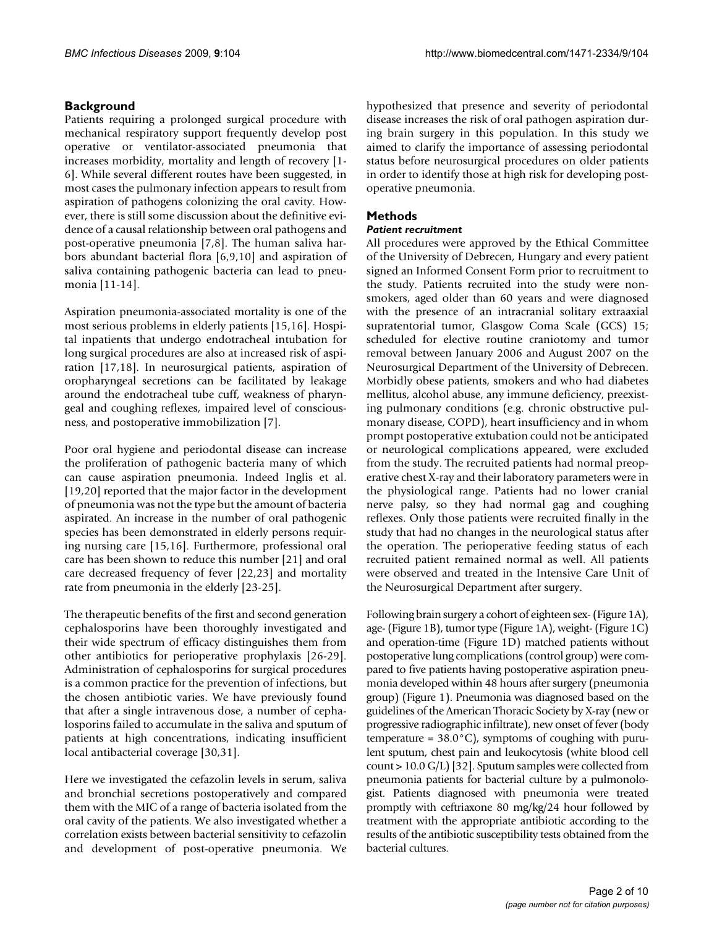# **Background**

Patients requiring a prolonged surgical procedure with mechanical respiratory support frequently develop post operative or ventilator-associated pneumonia that increases morbidity, mortality and length of recovery [1- 6]. While several different routes have been suggested, in most cases the pulmonary infection appears to result from aspiration of pathogens colonizing the oral cavity. However, there is still some discussion about the definitive evidence of a causal relationship between oral pathogens and post-operative pneumonia [7,8]. The human saliva harbors abundant bacterial flora [6,9,10] and aspiration of saliva containing pathogenic bacteria can lead to pneumonia [11-14].

Aspiration pneumonia-associated mortality is one of the most serious problems in elderly patients [15,16]. Hospital inpatients that undergo endotracheal intubation for long surgical procedures are also at increased risk of aspiration [17,18]. In neurosurgical patients, aspiration of oropharyngeal secretions can be facilitated by leakage around the endotracheal tube cuff, weakness of pharyngeal and coughing reflexes, impaired level of consciousness, and postoperative immobilization [7].

Poor oral hygiene and periodontal disease can increase the proliferation of pathogenic bacteria many of which can cause aspiration pneumonia. Indeed Inglis et al. [19,20] reported that the major factor in the development of pneumonia was not the type but the amount of bacteria aspirated. An increase in the number of oral pathogenic species has been demonstrated in elderly persons requiring nursing care [15,16]. Furthermore, professional oral care has been shown to reduce this number [21] and oral care decreased frequency of fever [22,23] and mortality rate from pneumonia in the elderly [23-25].

The therapeutic benefits of the first and second generation cephalosporins have been thoroughly investigated and their wide spectrum of efficacy distinguishes them from other antibiotics for perioperative prophylaxis [26-29]. Administration of cephalosporins for surgical procedures is a common practice for the prevention of infections, but the chosen antibiotic varies. We have previously found that after a single intravenous dose, a number of cephalosporins failed to accumulate in the saliva and sputum of patients at high concentrations, indicating insufficient local antibacterial coverage [30,31].

Here we investigated the cefazolin levels in serum, saliva and bronchial secretions postoperatively and compared them with the MIC of a range of bacteria isolated from the oral cavity of the patients. We also investigated whether a correlation exists between bacterial sensitivity to cefazolin and development of post-operative pneumonia. We hypothesized that presence and severity of periodontal disease increases the risk of oral pathogen aspiration during brain surgery in this population. In this study we aimed to clarify the importance of assessing periodontal status before neurosurgical procedures on older patients in order to identify those at high risk for developing postoperative pneumonia.

# **Methods**

# *Patient recruitment*

All procedures were approved by the Ethical Committee of the University of Debrecen, Hungary and every patient signed an Informed Consent Form prior to recruitment to the study. Patients recruited into the study were nonsmokers, aged older than 60 years and were diagnosed with the presence of an intracranial solitary extraaxial supratentorial tumor, Glasgow Coma Scale (GCS) 15; scheduled for elective routine craniotomy and tumor removal between January 2006 and August 2007 on the Neurosurgical Department of the University of Debrecen. Morbidly obese patients, smokers and who had diabetes mellitus, alcohol abuse, any immune deficiency, preexisting pulmonary conditions (e.g. chronic obstructive pulmonary disease, COPD), heart insufficiency and in whom prompt postoperative extubation could not be anticipated or neurological complications appeared, were excluded from the study. The recruited patients had normal preoperative chest X-ray and their laboratory parameters were in the physiological range. Patients had no lower cranial nerve palsy, so they had normal gag and coughing reflexes. Only those patients were recruited finally in the study that had no changes in the neurological status after the operation. The perioperative feeding status of each recruited patient remained normal as well. All patients were observed and treated in the Intensive Care Unit of the Neurosurgical Department after surgery.

Following brain surgery a cohort of eighteen sex- (Figure 1A), age- (Figure 1B), tumor type (Figure 1A), weight- (Figure 1C) and operation-time (Figure 1D) matched patients without postoperative lung complications (control group) were compared to five patients having postoperative aspiration pneumonia developed within 48 hours after surgery (pneumonia group) (Figure 1). Pneumonia was diagnosed based on the guidelines of the American Thoracic Society by X-ray (new or progressive radiographic infiltrate), new onset of fever (body temperature =  $38.0^{\circ}$ C), symptoms of coughing with purulent sputum, chest pain and leukocytosis (white blood cell count > 10.0 G/L) [32]. Sputum samples were collected from pneumonia patients for bacterial culture by a pulmonologist. Patients diagnosed with pneumonia were treated promptly with ceftriaxone 80 mg/kg/24 hour followed by treatment with the appropriate antibiotic according to the results of the antibiotic susceptibility tests obtained from the bacterial cultures.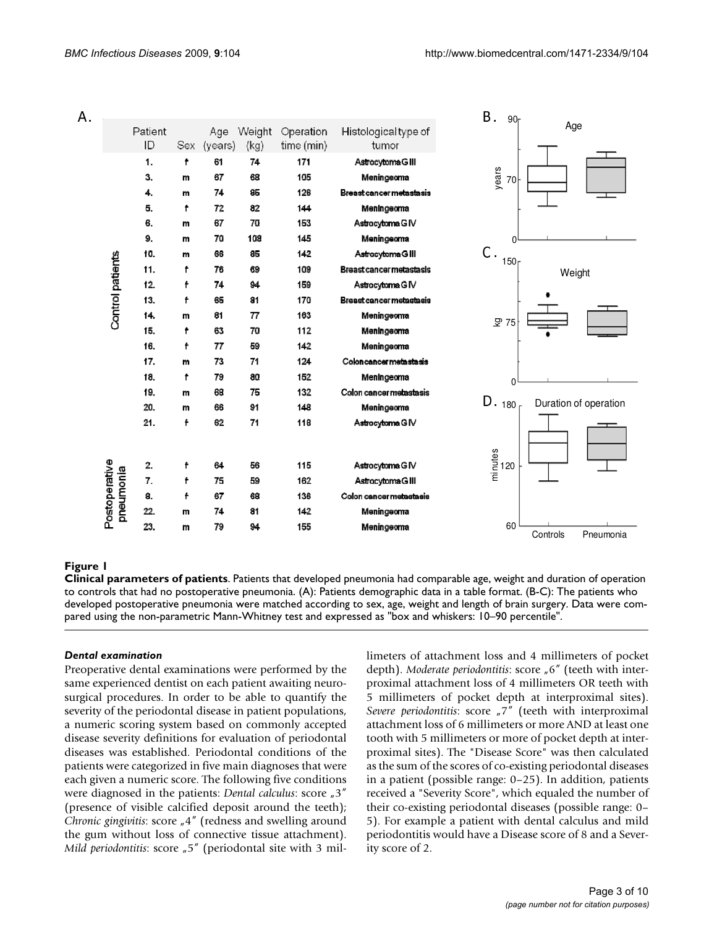$A.$ 



# Figure 1

**Clinical parameters of patients**. Patients that developed pneumonia had comparable age, weight and duration of operation to controls that had no postoperative pneumonia. (A): Patients demographic data in a table format. (B-C): The patients who developed postoperative pneumonia were matched according to sex, age, weight and length of brain surgery. Data were compared using the non-parametric Mann-Whitney test and expressed as "box and whiskers: 10–90 percentile".

#### *Dental examination*

Preoperative dental examinations were performed by the same experienced dentist on each patient awaiting neurosurgical procedures. In order to be able to quantify the severity of the periodontal disease in patient populations, a numeric scoring system based on commonly accepted disease severity definitions for evaluation of periodontal diseases was established. Periodontal conditions of the patients were categorized in five main diagnoses that were each given a numeric score. The following five conditions were diagnosed in the patients: *Dental calculus*: score  $\mu$ 3'' (presence of visible calcified deposit around the teeth); *Chronic gingivitis:* score <sub>*n*</sub>4<sup>*''*</sup> (redness and swelling around the gum without loss of connective tissue attachment). *Mild periodontitis:* score "5" (periodontal site with 3 millimeters of attachment loss and 4 millimeters of pocket depth). *Moderate periodontitis*: score "6" (teeth with interproximal attachment loss of 4 millimeters OR teeth with 5 millimeters of pocket depth at interproximal sites). *Severe periodontitis*: score "7" (teeth with interproximal attachment loss of 6 millimeters or more AND at least one tooth with 5 millimeters or more of pocket depth at interproximal sites). The "Disease Score" was then calculated as the sum of the scores of co-existing periodontal diseases in a patient (possible range: 0–25). In addition, patients received a "Severity Score", which equaled the number of their co-existing periodontal diseases (possible range: 0– 5). For example a patient with dental calculus and mild periodontitis would have a Disease score of 8 and a Severity score of 2.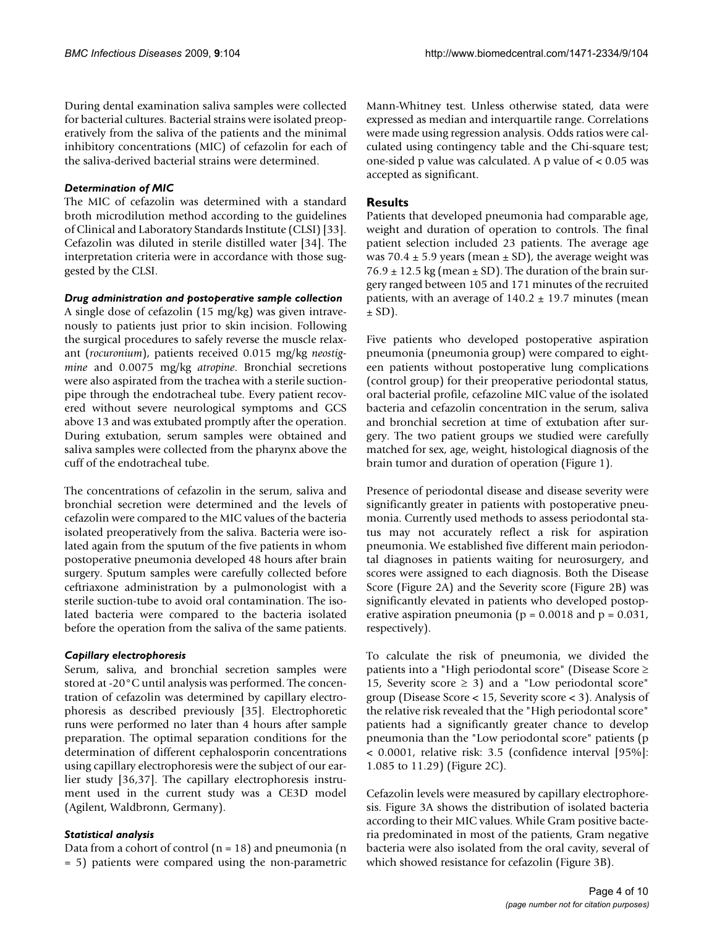During dental examination saliva samples were collected for bacterial cultures. Bacterial strains were isolated preoperatively from the saliva of the patients and the minimal inhibitory concentrations (MIC) of cefazolin for each of the saliva-derived bacterial strains were determined.

# *Determination of MIC*

The MIC of cefazolin was determined with a standard broth microdilution method according to the guidelines of Clinical and Laboratory Standards Institute (CLSI) [33]. Cefazolin was diluted in sterile distilled water [34]. The interpretation criteria were in accordance with those suggested by the CLSI.

#### *Drug administration and postoperative sample collection*

A single dose of cefazolin (15 mg/kg) was given intravenously to patients just prior to skin incision. Following the surgical procedures to safely reverse the muscle relaxant (*rocuronium*), patients received 0.015 mg/kg *neostigmine* and 0.0075 mg/kg *atropine*. Bronchial secretions were also aspirated from the trachea with a sterile suctionpipe through the endotracheal tube. Every patient recovered without severe neurological symptoms and GCS above 13 and was extubated promptly after the operation. During extubation, serum samples were obtained and saliva samples were collected from the pharynx above the cuff of the endotracheal tube.

The concentrations of cefazolin in the serum, saliva and bronchial secretion were determined and the levels of cefazolin were compared to the MIC values of the bacteria isolated preoperatively from the saliva. Bacteria were isolated again from the sputum of the five patients in whom postoperative pneumonia developed 48 hours after brain surgery. Sputum samples were carefully collected before ceftriaxone administration by a pulmonologist with a sterile suction-tube to avoid oral contamination. The isolated bacteria were compared to the bacteria isolated before the operation from the saliva of the same patients.

# *Capillary electrophoresis*

Serum, saliva, and bronchial secretion samples were stored at -20°C until analysis was performed. The concentration of cefazolin was determined by capillary electrophoresis as described previously [35]. Electrophoretic runs were performed no later than 4 hours after sample preparation. The optimal separation conditions for the determination of different cephalosporin concentrations using capillary electrophoresis were the subject of our earlier study [36,37]. The capillary electrophoresis instrument used in the current study was a CE3D model (Agilent, Waldbronn, Germany).

# *Statistical analysis*

Data from a cohort of control  $(n = 18)$  and pneumonia  $(n = 18)$ = 5) patients were compared using the non-parametric Mann-Whitney test. Unless otherwise stated, data were expressed as median and interquartile range. Correlations were made using regression analysis. Odds ratios were calculated using contingency table and the Chi-square test; one-sided p value was calculated. A p value of < 0.05 was accepted as significant.

# **Results**

Patients that developed pneumonia had comparable age, weight and duration of operation to controls. The final patient selection included 23 patients. The average age was 70.4  $\pm$  5.9 years (mean  $\pm$  SD), the average weight was  $76.9 \pm 12.5$  kg (mean  $\pm$  SD). The duration of the brain surgery ranged between 105 and 171 minutes of the recruited patients, with an average of  $140.2 \pm 19.7$  minutes (mean  $\pm$  SD).

Five patients who developed postoperative aspiration pneumonia (pneumonia group) were compared to eighteen patients without postoperative lung complications (control group) for their preoperative periodontal status, oral bacterial profile, cefazoline MIC value of the isolated bacteria and cefazolin concentration in the serum, saliva and bronchial secretion at time of extubation after surgery. The two patient groups we studied were carefully matched for sex, age, weight, histological diagnosis of the brain tumor and duration of operation (Figure 1).

Presence of periodontal disease and disease severity were significantly greater in patients with postoperative pneumonia. Currently used methods to assess periodontal status may not accurately reflect a risk for aspiration pneumonia. We established five different main periodontal diagnoses in patients waiting for neurosurgery, and scores were assigned to each diagnosis. Both the Disease Score (Figure 2A) and the Severity score (Figure 2B) was significantly elevated in patients who developed postoperative aspiration pneumonia ( $p = 0.0018$  and  $p = 0.031$ , respectively).

To calculate the risk of pneumonia, we divided the patients into a "High periodontal score" (Disease Score ≥ 15, Severity score  $\geq$  3) and a "Low periodontal score" group (Disease Score < 15, Severity score < 3). Analysis of the relative risk revealed that the "High periodontal score" patients had a significantly greater chance to develop pneumonia than the "Low periodontal score" patients (p < 0.0001, relative risk: 3.5 (confidence interval [95%]: 1.085 to 11.29) (Figure 2C).

Cefazolin levels were measured by capillary electrophoresis. Figure 3A shows the distribution of isolated bacteria according to their MIC values. While Gram positive bacteria predominated in most of the patients, Gram negative bacteria were also isolated from the oral cavity, several of which showed resistance for cefazolin (Figure 3B).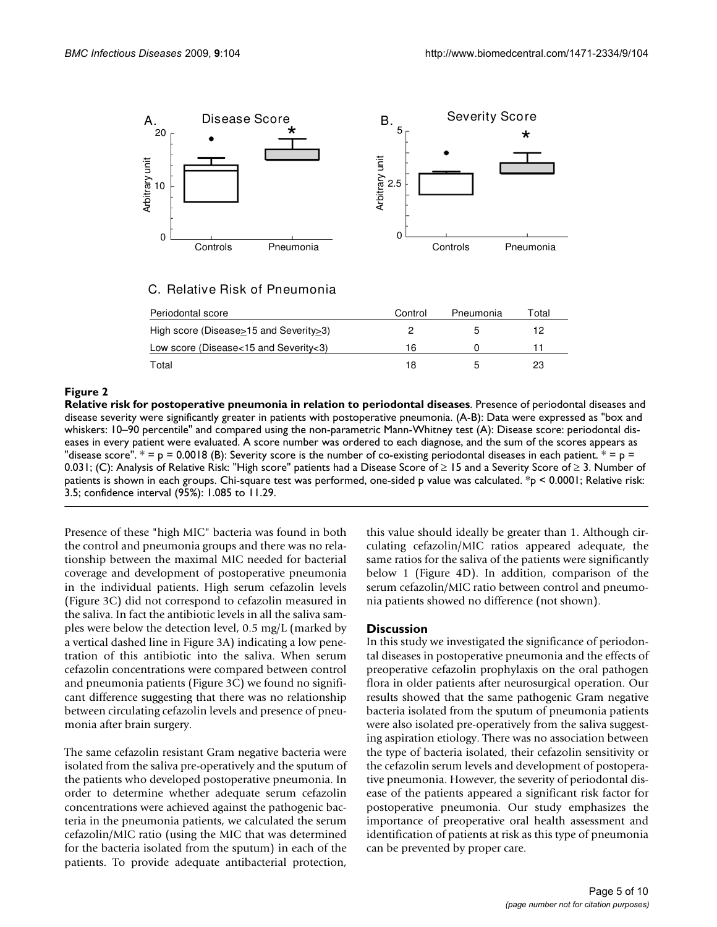

# C. Relative Risk of Pneumonia

| Periodontal score                             | Control | Pneumonia | Total |
|-----------------------------------------------|---------|-----------|-------|
| High score (Disease>15 and Severity>3)        |         |           | 12    |
| Low score (Disease $<$ 15 and Severity $<$ 3) | 16      |           |       |
| Total                                         | 18      |           | 23    |

# **Figure 2**

**Relative risk for postoperative pneumonia in relation to periodontal diseases**. Presence of periodontal diseases and disease severity were significantly greater in patients with postoperative pneumonia. (A-B): Data were expressed as "box and whiskers: 10–90 percentile" and compared using the non-parametric Mann-Whitney test (A): Disease score: periodontal diseases in every patient were evaluated. A score number was ordered to each diagnose, and the sum of the scores appears as "disease score".  $* = p = 0.0018$  (B): Severity score is the number of co-existing periodontal diseases in each patient.  $* = p =$ 0.031; (C): Analysis of Relative Risk: "High score" patients had a Disease Score of  $\geq 15$  and a Severity Score of  $\geq 3$ . Number of patients is shown in each groups. Chi-square test was performed, one-sided p value was calculated. \*p < 0.0001; Relative risk: 3.5; confidence interval (95%): 1.085 to 11.29.

Presence of these "high MIC" bacteria was found in both the control and pneumonia groups and there was no relationship between the maximal MIC needed for bacterial coverage and development of postoperative pneumonia in the individual patients. High serum cefazolin levels (Figure 3C) did not correspond to cefazolin measured in the saliva. In fact the antibiotic levels in all the saliva samples were below the detection level, 0.5 mg/L (marked by a vertical dashed line in Figure 3A) indicating a low penetration of this antibiotic into the saliva. When serum cefazolin concentrations were compared between control and pneumonia patients (Figure 3C) we found no significant difference suggesting that there was no relationship between circulating cefazolin levels and presence of pneumonia after brain surgery.

The same cefazolin resistant Gram negative bacteria were isolated from the saliva pre-operatively and the sputum of the patients who developed postoperative pneumonia. In order to determine whether adequate serum cefazolin concentrations were achieved against the pathogenic bacteria in the pneumonia patients, we calculated the serum cefazolin/MIC ratio (using the MIC that was determined for the bacteria isolated from the sputum) in each of the patients. To provide adequate antibacterial protection,

this value should ideally be greater than 1. Although circulating cefazolin/MIC ratios appeared adequate, the same ratios for the saliva of the patients were significantly below 1 (Figure 4D). In addition, comparison of the serum cefazolin/MIC ratio between control and pneumonia patients showed no difference (not shown).

# **Discussion**

In this study we investigated the significance of periodontal diseases in postoperative pneumonia and the effects of preoperative cefazolin prophylaxis on the oral pathogen flora in older patients after neurosurgical operation. Our results showed that the same pathogenic Gram negative bacteria isolated from the sputum of pneumonia patients were also isolated pre-operatively from the saliva suggesting aspiration etiology. There was no association between the type of bacteria isolated, their cefazolin sensitivity or the cefazolin serum levels and development of postoperative pneumonia. However, the severity of periodontal disease of the patients appeared a significant risk factor for postoperative pneumonia. Our study emphasizes the importance of preoperative oral health assessment and identification of patients at risk as this type of pneumonia can be prevented by proper care.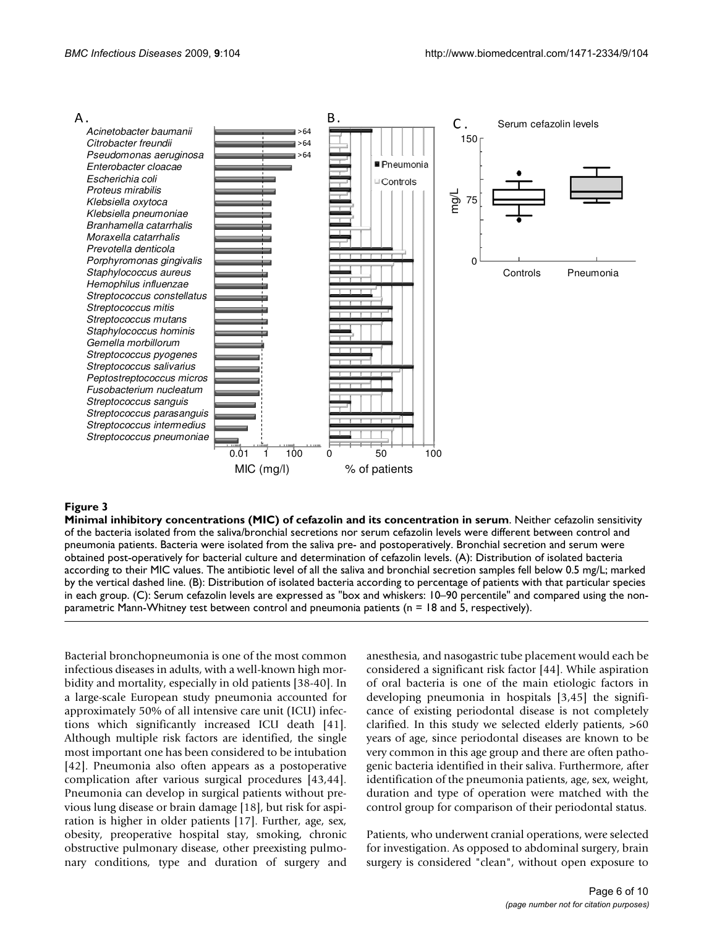

#### Minimal inhibitory concentrat **Figure 3** ions (MIC) of cefazolin and its concentration in serum

**Minimal inhibitory concentrations (MIC) of cefazolin and its concentration in serum**. Neither cefazolin sensitivity of the bacteria isolated from the saliva/bronchial secretions nor serum cefazolin levels were different between control and pneumonia patients. Bacteria were isolated from the saliva pre- and postoperatively. Bronchial secretion and serum were obtained post-operatively for bacterial culture and determination of cefazolin levels. (A): Distribution of isolated bacteria according to their MIC values. The antibiotic level of all the saliva and bronchial secretion samples fell below 0.5 mg/L; marked by the vertical dashed line. (B): Distribution of isolated bacteria according to percentage of patients with that particular species in each group. (C): Serum cefazolin levels are expressed as "box and whiskers: 10–90 percentile" and compared using the nonparametric Mann-Whitney test between control and pneumonia patients (n = 18 and 5, respectively).

Bacterial bronchopneumonia is one of the most common infectious diseases in adults, with a well-known high morbidity and mortality, especially in old patients [38-40]. In a large-scale European study pneumonia accounted for approximately 50% of all intensive care unit (ICU) infections which significantly increased ICU death [41]. Although multiple risk factors are identified, the single most important one has been considered to be intubation [42]. Pneumonia also often appears as a postoperative complication after various surgical procedures [43,44]. Pneumonia can develop in surgical patients without previous lung disease or brain damage [18], but risk for aspiration is higher in older patients [17]. Further, age, sex, obesity, preoperative hospital stay, smoking, chronic obstructive pulmonary disease, other preexisting pulmonary conditions, type and duration of surgery and anesthesia, and nasogastric tube placement would each be considered a significant risk factor [44]. While aspiration of oral bacteria is one of the main etiologic factors in developing pneumonia in hospitals [3,45] the significance of existing periodontal disease is not completely clarified. In this study we selected elderly patients, >60 years of age, since periodontal diseases are known to be very common in this age group and there are often pathogenic bacteria identified in their saliva. Furthermore, after identification of the pneumonia patients, age, sex, weight, duration and type of operation were matched with the control group for comparison of their periodontal status.

Patients, who underwent cranial operations, were selected for investigation. As opposed to abdominal surgery, brain surgery is considered "clean", without open exposure to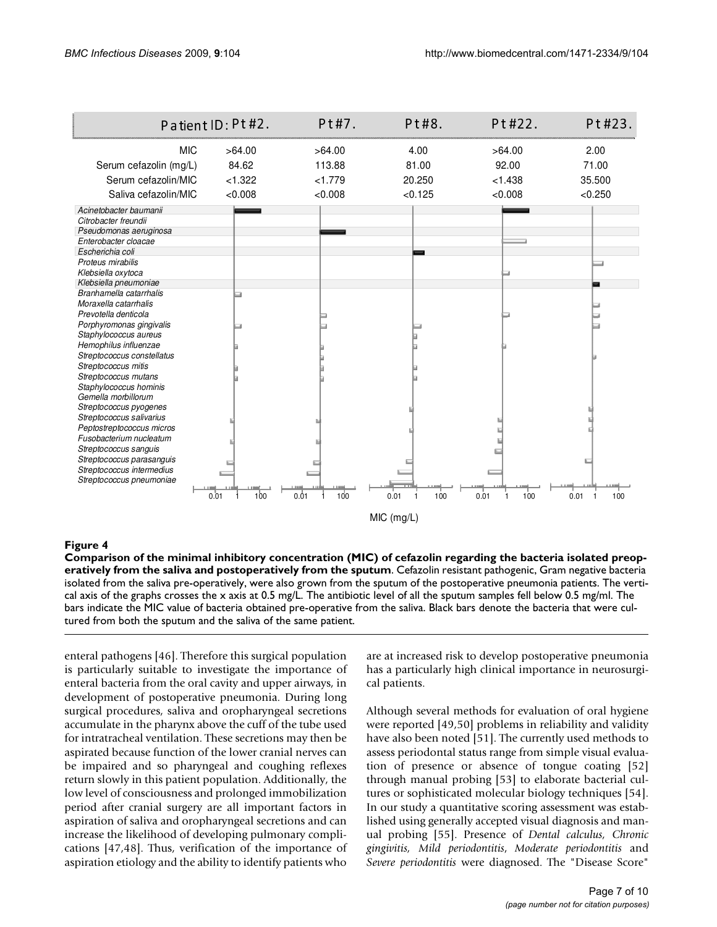|                                                                                                                                                                                                                                                                                                                                                                                                                                                                                                                                                                                                                                                                                                               | Patient ID: Pt#2.          | PtH7.                       | Pt#8.                         | Pt#22.                      | Pt#23.                                  |  |  |
|---------------------------------------------------------------------------------------------------------------------------------------------------------------------------------------------------------------------------------------------------------------------------------------------------------------------------------------------------------------------------------------------------------------------------------------------------------------------------------------------------------------------------------------------------------------------------------------------------------------------------------------------------------------------------------------------------------------|----------------------------|-----------------------------|-------------------------------|-----------------------------|-----------------------------------------|--|--|
| <b>MIC</b><br>Serum cefazolin (mg/L)<br>Serum cefazolin/MIC                                                                                                                                                                                                                                                                                                                                                                                                                                                                                                                                                                                                                                                   | >64.00<br>84.62<br>< 1.322 | >64.00<br>113.88<br>< 1.779 | 4.00<br>81.00                 | >64.00<br>92.00<br>< 1.438  | 2.00<br>71.00                           |  |  |
| Saliva cefazolin/MIC                                                                                                                                                                                                                                                                                                                                                                                                                                                                                                                                                                                                                                                                                          | < 0.008                    | < 0.008                     | 20.250<br>< 0.125             | &0.008                      | 35.500<br>< 0.250                       |  |  |
| Acinetobacter baumanii<br>Citrobacter freundii<br>Pseudomonas aeruginosa<br>Enterobacter cloacae<br>Escherichia coli<br>Proteus mirabilis<br>Klebsiella oxytoca<br>Klebsiella pneumoniae<br>Branhamella catarrhalis<br>Moraxella catarrhalis<br>Prevotella denticola<br>Porphyromonas gingivalis<br>Staphylococcus aureus<br>Hemophilus influenzae<br>Streptococcus constellatus<br>Streptococcus mitis<br>Streptococcus mutans<br>Staphylococcus hominis<br>Gemella morbillorum<br>Streptococcus pyogenes<br>Streptococcus salivarius<br>Peptostreptococcus micros<br>Fusobacterium nucleatum<br>Streptococcus sanguis<br>Streptococcus parasanguis<br>Streptococcus intermedius<br>Streptococcus pneumoniae | 100<br>0.01<br>-1          | 0.01<br>100<br>1            | 0.01<br>100<br>$\overline{1}$ | 0.01<br>100<br>$\mathbf{1}$ | 0.01<br>100<br>$\overline{\phantom{1}}$ |  |  |
|                                                                                                                                                                                                                                                                                                                                                                                                                                                                                                                                                                                                                                                                                                               |                            |                             |                               |                             |                                         |  |  |
|                                                                                                                                                                                                                                                                                                                                                                                                                                                                                                                                                                                                                                                                                                               | MIC (mg/L)                 |                             |                               |                             |                                         |  |  |

# Comparison of the mi saliva and postoperatively from the sputum **Figure 4** nimal inhibitory concentration (MIC) of cefazolin regarding the bacteria isolated preoperatively from the

**Comparison of the minimal inhibitory concentration (MIC) of cefazolin regarding the bacteria isolated preoperatively from the saliva and postoperatively from the sputum**. Cefazolin resistant pathogenic, Gram negative bacteria isolated from the saliva pre-operatively, were also grown from the sputum of the postoperative pneumonia patients. The vertical axis of the graphs crosses the x axis at 0.5 mg/L. The antibiotic level of all the sputum samples fell below 0.5 mg/ml. The bars indicate the MIC value of bacteria obtained pre-operative from the saliva. Black bars denote the bacteria that were cultured from both the sputum and the saliva of the same patient.

enteral pathogens [46]. Therefore this surgical population is particularly suitable to investigate the importance of enteral bacteria from the oral cavity and upper airways, in development of postoperative pneumonia. During long surgical procedures, saliva and oropharyngeal secretions accumulate in the pharynx above the cuff of the tube used for intratracheal ventilation. These secretions may then be aspirated because function of the lower cranial nerves can be impaired and so pharyngeal and coughing reflexes return slowly in this patient population. Additionally, the low level of consciousness and prolonged immobilization period after cranial surgery are all important factors in aspiration of saliva and oropharyngeal secretions and can increase the likelihood of developing pulmonary complications [47,48]. Thus, verification of the importance of aspiration etiology and the ability to identify patients who are at increased risk to develop postoperative pneumonia has a particularly high clinical importance in neurosurgical patients.

Although several methods for evaluation of oral hygiene were reported [49,50] problems in reliability and validity have also been noted [51]. The currently used methods to assess periodontal status range from simple visual evaluation of presence or absence of tongue coating [52] through manual probing [53] to elaborate bacterial cultures or sophisticated molecular biology techniques [54]. In our study a quantitative scoring assessment was established using generally accepted visual diagnosis and manual probing [55]. Presence of *Dental calculus, Chronic gingivitis, Mild periodontitis*, *Moderate periodontitis* and *Severe periodontitis* were diagnosed. The "Disease Score"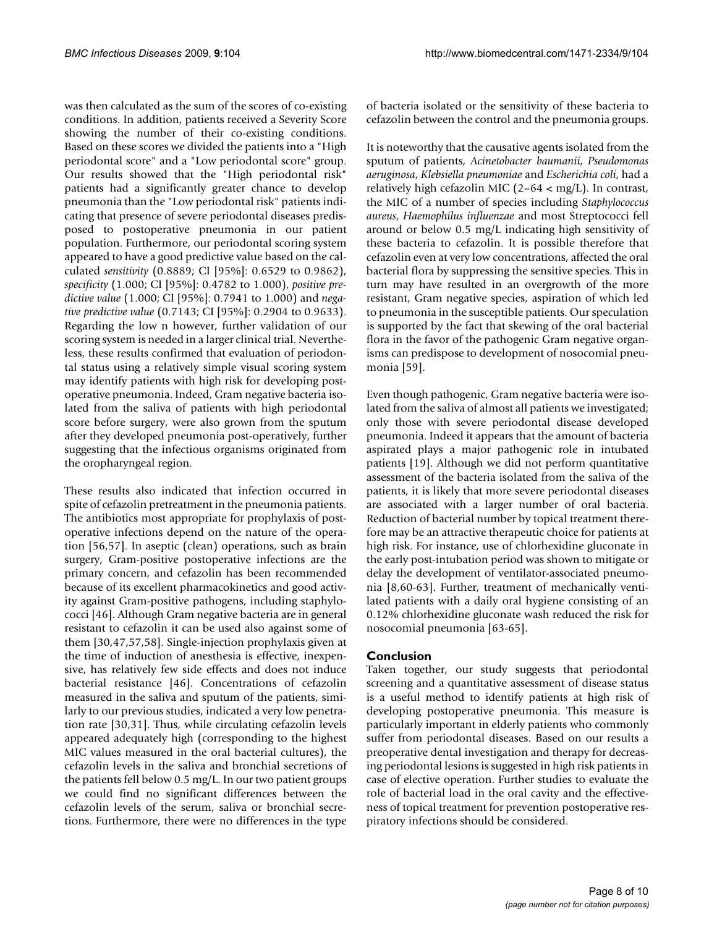was then calculated as the sum of the scores of co-existing conditions. In addition, patients received a Severity Score showing the number of their co-existing conditions. Based on these scores we divided the patients into a "High periodontal score" and a "Low periodontal score" group. Our results showed that the "High periodontal risk" patients had a significantly greater chance to develop pneumonia than the "Low periodontal risk" patients indicating that presence of severe periodontal diseases predisposed to postoperative pneumonia in our patient population. Furthermore, our periodontal scoring system appeared to have a good predictive value based on the calculated *sensitivity* (0.8889; CI [95%]: 0.6529 to 0.9862), *specificity* (1.000; CI [95%]: 0.4782 to 1.000), *positive predictive value* (1.000; CI [95%]: 0.7941 to 1.000) and *negative predictive value* (0.7143; CI [95%]: 0.2904 to 0.9633). Regarding the low n however, further validation of our scoring system is needed in a larger clinical trial. Nevertheless, these results confirmed that evaluation of periodontal status using a relatively simple visual scoring system may identify patients with high risk for developing postoperative pneumonia. Indeed, Gram negative bacteria isolated from the saliva of patients with high periodontal score before surgery, were also grown from the sputum after they developed pneumonia post-operatively, further suggesting that the infectious organisms originated from the oropharyngeal region.

These results also indicated that infection occurred in spite of cefazolin pretreatment in the pneumonia patients. The antibiotics most appropriate for prophylaxis of postoperative infections depend on the nature of the operation [56,57]. In aseptic (clean) operations, such as brain surgery, Gram-positive postoperative infections are the primary concern, and cefazolin has been recommended because of its excellent pharmacokinetics and good activity against Gram-positive pathogens, including staphylococci [46]. Although Gram negative bacteria are in general resistant to cefazolin it can be used also against some of them [30,47,57,58]. Single-injection prophylaxis given at the time of induction of anesthesia is effective, inexpensive, has relatively few side effects and does not induce bacterial resistance [46]. Concentrations of cefazolin measured in the saliva and sputum of the patients, similarly to our previous studies, indicated a very low penetration rate [30,31]. Thus, while circulating cefazolin levels appeared adequately high (corresponding to the highest MIC values measured in the oral bacterial cultures), the cefazolin levels in the saliva and bronchial secretions of the patients fell below 0.5 mg/L. In our two patient groups we could find no significant differences between the cefazolin levels of the serum, saliva or bronchial secretions. Furthermore, there were no differences in the type of bacteria isolated or the sensitivity of these bacteria to cefazolin between the control and the pneumonia groups.

It is noteworthy that the causative agents isolated from the sputum of patients, *Acinetobacter baumanii*, *Pseudomonas aeruginosa*, *Klebsiella pneumoniae* and *Escherichia coli*, had a relatively high cefazolin MIC (2–64 < mg/L). In contrast, the MIC of a number of species including *Staphylococcus aureus*, *Haemophilus influenzae* and most Streptococci fell around or below 0.5 mg/L indicating high sensitivity of these bacteria to cefazolin. It is possible therefore that cefazolin even at very low concentrations, affected the oral bacterial flora by suppressing the sensitive species. This in turn may have resulted in an overgrowth of the more resistant, Gram negative species, aspiration of which led to pneumonia in the susceptible patients. Our speculation is supported by the fact that skewing of the oral bacterial flora in the favor of the pathogenic Gram negative organisms can predispose to development of nosocomial pneumonia [59].

Even though pathogenic, Gram negative bacteria were isolated from the saliva of almost all patients we investigated; only those with severe periodontal disease developed pneumonia. Indeed it appears that the amount of bacteria aspirated plays a major pathogenic role in intubated patients [19]. Although we did not perform quantitative assessment of the bacteria isolated from the saliva of the patients, it is likely that more severe periodontal diseases are associated with a larger number of oral bacteria. Reduction of bacterial number by topical treatment therefore may be an attractive therapeutic choice for patients at high risk. For instance, use of chlorhexidine gluconate in the early post-intubation period was shown to mitigate or delay the development of ventilator-associated pneumonia [8,60-63]. Further, treatment of mechanically ventilated patients with a daily oral hygiene consisting of an 0.12% chlorhexidine gluconate wash reduced the risk for nosocomial pneumonia [63-65].

# **Conclusion**

Taken together, our study suggests that periodontal screening and a quantitative assessment of disease status is a useful method to identify patients at high risk of developing postoperative pneumonia. This measure is particularly important in elderly patients who commonly suffer from periodontal diseases. Based on our results a preoperative dental investigation and therapy for decreasing periodontal lesions is suggested in high risk patients in case of elective operation. Further studies to evaluate the role of bacterial load in the oral cavity and the effectiveness of topical treatment for prevention postoperative respiratory infections should be considered.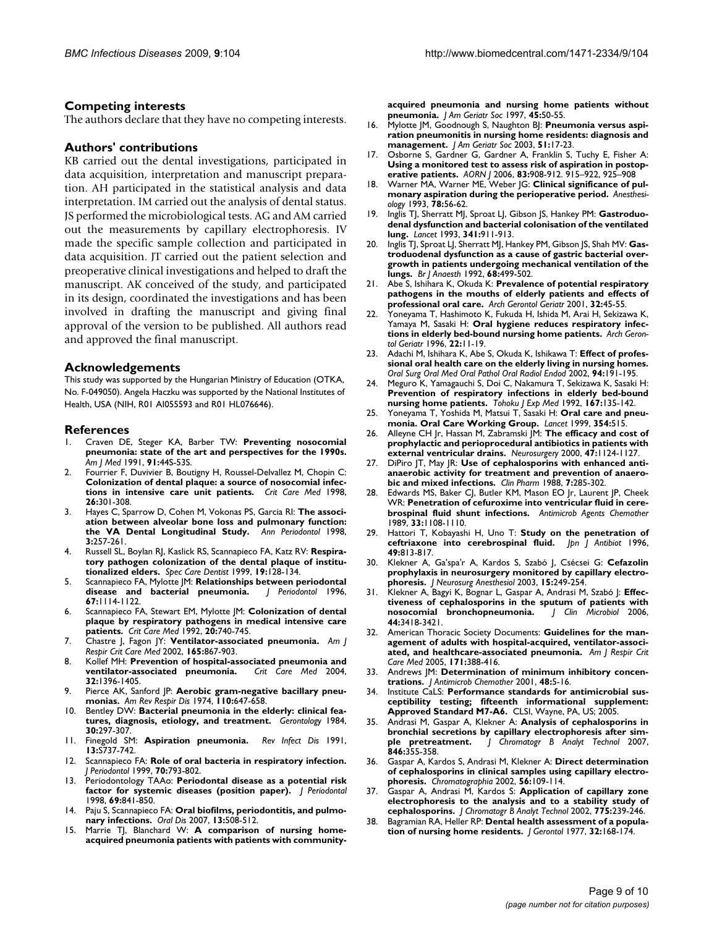#### **Competing interests**

The authors declare that they have no competing interests.

#### **Authors' contributions**

KB carried out the dental investigations, participated in data acquisition, interpretation and manuscript preparation. AH participated in the statistical analysis and data interpretation. IM carried out the analysis of dental status. JS performed the microbiological tests. AG and AM carried out the measurements by capillary electrophoresis. IV made the specific sample collection and participated in data acquisition. JT carried out the patient selection and preoperative clinical investigations and helped to draft the manuscript. AK conceived of the study, and participated in its design, coordinated the investigations and has been involved in drafting the manuscript and giving final approval of the version to be published. All authors read and approved the final manuscript.

#### **Acknowledgements**

This study was supported by the Hungarian Ministry of Education (OTKA, No. F-049050). Angela Haczku was supported by the National Institutes of Health, USA (NIH, R01 AI055593 and R01 HL076646).

#### **References**

- 1. Craven DE, Steger KA, Barber TW: **[Preventing nosocomial](http://www.ncbi.nlm.nih.gov/entrez/query.fcgi?cmd=Retrieve&db=PubMed&dopt=Abstract&list_uids=1928191) [pneumonia: state of the art and perspectives for the 1990s.](http://www.ncbi.nlm.nih.gov/entrez/query.fcgi?cmd=Retrieve&db=PubMed&dopt=Abstract&list_uids=1928191)** *Am J Med* 1991, **91:**44S-53S.
- 2. Fourrier F, Duvivier B, Boutigny H, Roussel-Delvallez M, Chopin C: **[Colonization of dental plaque: a source of nosocomial infec](http://www.ncbi.nlm.nih.gov/entrez/query.fcgi?cmd=Retrieve&db=PubMed&dopt=Abstract&list_uids=9468169)[tions in intensive care unit patients.](http://www.ncbi.nlm.nih.gov/entrez/query.fcgi?cmd=Retrieve&db=PubMed&dopt=Abstract&list_uids=9468169)** *Crit Care Med* 1998, **26:**301-308.
- 3. Hayes C, Sparrow D, Cohen M, Vokonas PS, Garcia RI: **[The associ](http://www.ncbi.nlm.nih.gov/entrez/query.fcgi?cmd=Retrieve&db=PubMed&dopt=Abstract&list_uids=9722709)[ation between alveolar bone loss and pulmonary function:](http://www.ncbi.nlm.nih.gov/entrez/query.fcgi?cmd=Retrieve&db=PubMed&dopt=Abstract&list_uids=9722709) [the VA Dental Longitudinal Study.](http://www.ncbi.nlm.nih.gov/entrez/query.fcgi?cmd=Retrieve&db=PubMed&dopt=Abstract&list_uids=9722709)** *Ann Periodontol* 1998, **3:**257-261.
- 4. Russell SL, Boylan RJ, Kaslick RS, Scannapieco FA, Katz RV: **[Respira](http://www.ncbi.nlm.nih.gov/entrez/query.fcgi?cmd=Retrieve&db=PubMed&dopt=Abstract&list_uids=10860077)[tory pathogen colonization of the dental plaque of institu](http://www.ncbi.nlm.nih.gov/entrez/query.fcgi?cmd=Retrieve&db=PubMed&dopt=Abstract&list_uids=10860077)[tionalized elders.](http://www.ncbi.nlm.nih.gov/entrez/query.fcgi?cmd=Retrieve&db=PubMed&dopt=Abstract&list_uids=10860077)** *Spec Care Dentist* 1999, **19:**128-134.
- 5. Scannapieco FA, Mylotte JM: **[Relationships between periodontal](http://www.ncbi.nlm.nih.gov/entrez/query.fcgi?cmd=Retrieve&db=PubMed&dopt=Abstract&list_uids=8910830)** [disease and bacterial pneumonia.](http://www.ncbi.nlm.nih.gov/entrez/query.fcgi?cmd=Retrieve&db=PubMed&dopt=Abstract&list_uids=8910830) **67:**1114-1122.
- 6. Scannapieco FA, Stewart EM, Mylotte JM: **[Colonization of dental](http://www.ncbi.nlm.nih.gov/entrez/query.fcgi?cmd=Retrieve&db=PubMed&dopt=Abstract&list_uids=1597025) [plaque by respiratory pathogens in medical intensive care](http://www.ncbi.nlm.nih.gov/entrez/query.fcgi?cmd=Retrieve&db=PubMed&dopt=Abstract&list_uids=1597025) [patients.](http://www.ncbi.nlm.nih.gov/entrez/query.fcgi?cmd=Retrieve&db=PubMed&dopt=Abstract&list_uids=1597025)** *Crit Care Med* 1992, **20:**740-745.
- 7. Chastre J, Fagon JY: **[Ventilator-associated pneumonia.](http://www.ncbi.nlm.nih.gov/entrez/query.fcgi?cmd=Retrieve&db=PubMed&dopt=Abstract&list_uids=11934711)** *Am J Respir Crit Care Med* 2002, **165:**867-903.
- 8. Kollef MH: **[Prevention of hospital-associated pneumonia and](http://www.ncbi.nlm.nih.gov/entrez/query.fcgi?cmd=Retrieve&db=PubMed&dopt=Abstract&list_uids=15187525) [ventilator-associated pneumonia.](http://www.ncbi.nlm.nih.gov/entrez/query.fcgi?cmd=Retrieve&db=PubMed&dopt=Abstract&list_uids=15187525)** *Crit Care Med* 2004, **32:**1396-1405.
- Pierce AK, Sanford JP: [Aerobic gram-negative bacillary pneu](http://www.ncbi.nlm.nih.gov/entrez/query.fcgi?cmd=Retrieve&db=PubMed&dopt=Abstract&list_uids=4611291)**[monias.](http://www.ncbi.nlm.nih.gov/entrez/query.fcgi?cmd=Retrieve&db=PubMed&dopt=Abstract&list_uids=4611291)** *Am Rev Respir Dis* 1974, **110:**647-658.
- 10. Bentley DW: **[Bacterial pneumonia in the elderly: clinical fea](http://www.ncbi.nlm.nih.gov/entrez/query.fcgi?cmd=Retrieve&db=PubMed&dopt=Abstract&list_uids=6386609)[tures, diagnosis, etiology, and treatment.](http://www.ncbi.nlm.nih.gov/entrez/query.fcgi?cmd=Retrieve&db=PubMed&dopt=Abstract&list_uids=6386609)** *Gerontology* 1984, **30:**297-307.
- 11. Finegold SM: **[Aspiration pneumonia.](http://www.ncbi.nlm.nih.gov/entrez/query.fcgi?cmd=Retrieve&db=PubMed&dopt=Abstract&list_uids=1925318)** *Rev Infect Dis* 1991, **13:**S737-742.
- 12. Scannapieco FA: **[Role of oral bacteria in respiratory infection.](http://www.ncbi.nlm.nih.gov/entrez/query.fcgi?cmd=Retrieve&db=PubMed&dopt=Abstract&list_uids=10440642)** *J Periodontol* 1999, **70:**793-802.
- 13. Periodontology TAAo: **Periodontal disease as a potential risk factor for systemic diseases (position paper).** *J Periodontal* 1998, **69:**841-850.
- 14. Paju S, Scannapieco FA: **[Oral biofilms, periodontitis, and pulmo](http://www.ncbi.nlm.nih.gov/entrez/query.fcgi?cmd=Retrieve&db=PubMed&dopt=Abstract&list_uids=17944664)[nary infections.](http://www.ncbi.nlm.nih.gov/entrez/query.fcgi?cmd=Retrieve&db=PubMed&dopt=Abstract&list_uids=17944664)** *Oral Dis* 2007, **13:**508-512.
- 15. Marrie TJ, Blanchard W: **[A comparison of nursing home](http://www.ncbi.nlm.nih.gov/entrez/query.fcgi?cmd=Retrieve&db=PubMed&dopt=Abstract&list_uids=8994487)[acquired pneumonia patients with patients with community-](http://www.ncbi.nlm.nih.gov/entrez/query.fcgi?cmd=Retrieve&db=PubMed&dopt=Abstract&list_uids=8994487)**

**[acquired pneumonia and nursing home patients without](http://www.ncbi.nlm.nih.gov/entrez/query.fcgi?cmd=Retrieve&db=PubMed&dopt=Abstract&list_uids=8994487) [pneumonia.](http://www.ncbi.nlm.nih.gov/entrez/query.fcgi?cmd=Retrieve&db=PubMed&dopt=Abstract&list_uids=8994487)** *J Am Geriatr Soc* 1997, **45:**50-55.

- 16. Mylotte JM, Goodnough S, Naughton BJ: **[Pneumonia versus aspi](http://www.ncbi.nlm.nih.gov/entrez/query.fcgi?cmd=Retrieve&db=PubMed&dopt=Abstract&list_uids=12534840)[ration pneumonitis in nursing home residents: diagnosis and](http://www.ncbi.nlm.nih.gov/entrez/query.fcgi?cmd=Retrieve&db=PubMed&dopt=Abstract&list_uids=12534840) [management.](http://www.ncbi.nlm.nih.gov/entrez/query.fcgi?cmd=Retrieve&db=PubMed&dopt=Abstract&list_uids=12534840)** *J Am Geriatr Soc* 2003, **51:**17-23.
- 17. Osborne S, Gardner G, Gardner A, Franklin S, Tuchy E, Fisher A: **[Using a monitored test to assess risk of aspiration in postop](http://www.ncbi.nlm.nih.gov/entrez/query.fcgi?cmd=Retrieve&db=PubMed&dopt=Abstract&list_uids=16674031)[erative patients.](http://www.ncbi.nlm.nih.gov/entrez/query.fcgi?cmd=Retrieve&db=PubMed&dopt=Abstract&list_uids=16674031)** *AORN J* 2006, **83:**908-912. 915–922, 925–908
- 18. Warner MA, Warner ME, Weber JG: **[Clinical significance of pul](http://www.ncbi.nlm.nih.gov/entrez/query.fcgi?cmd=Retrieve&db=PubMed&dopt=Abstract&list_uids=8424572)[monary aspiration during the perioperative period.](http://www.ncbi.nlm.nih.gov/entrez/query.fcgi?cmd=Retrieve&db=PubMed&dopt=Abstract&list_uids=8424572)** *Anesthesiology* 1993, **78:**56-62.
- 19. Inglis TJ, Sherratt MJ, Sproat LJ, Gibson JS, Hankey PM: **[Gastroduo](http://www.ncbi.nlm.nih.gov/entrez/query.fcgi?cmd=Retrieve&db=PubMed&dopt=Abstract&list_uids=8096263)[denal dysfunction and bacterial colonisation of the ventilated](http://www.ncbi.nlm.nih.gov/entrez/query.fcgi?cmd=Retrieve&db=PubMed&dopt=Abstract&list_uids=8096263) [lung.](http://www.ncbi.nlm.nih.gov/entrez/query.fcgi?cmd=Retrieve&db=PubMed&dopt=Abstract&list_uids=8096263)** *Lancet* 1993, **341:**911-913.
- 20. Inglis TJ, Sproat LJ, Sherratt MJ, Hankey PM, Gibson JS, Shah MV: **[Gas](http://www.ncbi.nlm.nih.gov/entrez/query.fcgi?cmd=Retrieve&db=PubMed&dopt=Abstract&list_uids=1642939)[troduodenal dysfunction as a cause of gastric bacterial over](http://www.ncbi.nlm.nih.gov/entrez/query.fcgi?cmd=Retrieve&db=PubMed&dopt=Abstract&list_uids=1642939)growth in patients undergoing mechanical ventilation of the [lungs.](http://www.ncbi.nlm.nih.gov/entrez/query.fcgi?cmd=Retrieve&db=PubMed&dopt=Abstract&list_uids=1642939)** *Br J Anaesth* 1992, **68:**499-502.
- 21. Abe S, Ishihara K, Okuda K: **[Prevalence of potential respiratory](http://www.ncbi.nlm.nih.gov/entrez/query.fcgi?cmd=Retrieve&db=PubMed&dopt=Abstract&list_uids=11251238) [pathogens in the mouths of elderly patients and effects of](http://www.ncbi.nlm.nih.gov/entrez/query.fcgi?cmd=Retrieve&db=PubMed&dopt=Abstract&list_uids=11251238) [professional oral care.](http://www.ncbi.nlm.nih.gov/entrez/query.fcgi?cmd=Retrieve&db=PubMed&dopt=Abstract&list_uids=11251238)** *Arch Gerontol Geriatr* 2001, **32:**45-55.
- 22. Yoneyama T, Hashimoto K, Fukuda H, Ishida M, Arai H, Sekizawa K, Yamaya M, Sasaki H: **[Oral hygiene reduces respiratory infec](http://www.ncbi.nlm.nih.gov/entrez/query.fcgi?cmd=Retrieve&db=PubMed&dopt=Abstract&list_uids=15374188)[tions in elderly bed-bound nursing home patients.](http://www.ncbi.nlm.nih.gov/entrez/query.fcgi?cmd=Retrieve&db=PubMed&dopt=Abstract&list_uids=15374188)** *Arch Gerontol Geriatr* 1996, **22:**11-19.
- 23. Adachi M, Ishihara K, Abe S, Okuda K, Ishikawa T: **[Effect of profes](http://www.ncbi.nlm.nih.gov/entrez/query.fcgi?cmd=Retrieve&db=PubMed&dopt=Abstract&list_uids=12221387)sional [oral health care on the elderly living in nursing homes.](http://www.ncbi.nlm.nih.gov/entrez/query.fcgi?cmd=Retrieve&db=PubMed&dopt=Abstract&list_uids=12221387)** *Oral Surg Oral Med Oral Pathol Oral Radiol Endod* 2002, **94:**191-195.
- 24. Meguro K, Yamagauchi S, Doi C, Nakamura T, Sekizawa K, Sasaki H: **[Prevention of respiratory infections in elderly bed-bound](http://www.ncbi.nlm.nih.gov/entrez/query.fcgi?cmd=Retrieve&db=PubMed&dopt=Abstract&list_uids=1475786) [nursing home patients.](http://www.ncbi.nlm.nih.gov/entrez/query.fcgi?cmd=Retrieve&db=PubMed&dopt=Abstract&list_uids=1475786)** *Tohoku J Exp Med* 1992, **167:**135-142.
- 25. Yoneyama T, Yoshida M, Matsui T, Sasaki H: **[Oral care and pneu](http://www.ncbi.nlm.nih.gov/entrez/query.fcgi?cmd=Retrieve&db=PubMed&dopt=Abstract&list_uids=10465203)[monia. Oral Care Working Group.](http://www.ncbi.nlm.nih.gov/entrez/query.fcgi?cmd=Retrieve&db=PubMed&dopt=Abstract&list_uids=10465203)** *Lancet* 1999, **354:**515.
- 26. Alleyne CH Jr, Hassan M, Zabramski JM: **[The efficacy and cost of](http://www.ncbi.nlm.nih.gov/entrez/query.fcgi?cmd=Retrieve&db=PubMed&dopt=Abstract&list_uids=11063105) [prophylactic and perioprocedural antibiotics in patients with](http://www.ncbi.nlm.nih.gov/entrez/query.fcgi?cmd=Retrieve&db=PubMed&dopt=Abstract&list_uids=11063105) [external ventricular drains.](http://www.ncbi.nlm.nih.gov/entrez/query.fcgi?cmd=Retrieve&db=PubMed&dopt=Abstract&list_uids=11063105)** *Neurosurgery* 2000, **47:**1124-1127.
- 27. DiPiro JT, May JR: **[Use of cephalosporins with enhanced anti](http://www.ncbi.nlm.nih.gov/entrez/query.fcgi?cmd=Retrieve&db=PubMed&dopt=Abstract&list_uids=3284692)[anaerobic activity for treatment and prevention of anaero](http://www.ncbi.nlm.nih.gov/entrez/query.fcgi?cmd=Retrieve&db=PubMed&dopt=Abstract&list_uids=3284692)[bic and mixed infections.](http://www.ncbi.nlm.nih.gov/entrez/query.fcgi?cmd=Retrieve&db=PubMed&dopt=Abstract&list_uids=3284692)** *Clin Pharm* 1988, **7:**285-302.
- 28. Edwards MS, Baker CJ, Butler KM, Mason EO Jr, Laurent JP, Cheek WR: **[Penetration of cefuroxime into ventricular fluid in cere](http://www.ncbi.nlm.nih.gov/entrez/query.fcgi?cmd=Retrieve&db=PubMed&dopt=Abstract&list_uids=2782860)[brospinal fluid shunt infections.](http://www.ncbi.nlm.nih.gov/entrez/query.fcgi?cmd=Retrieve&db=PubMed&dopt=Abstract&list_uids=2782860)** *Antimicrob Agents Chemother* 1989, **33:**1108-1110.
- 29. Hattori T, Kobayashi H, Uno T: **[Study on the penetration of](http://www.ncbi.nlm.nih.gov/entrez/query.fcgi?cmd=Retrieve&db=PubMed&dopt=Abstract&list_uids=9053536) [ceftriaxone into cerebrospinal fluid.](http://www.ncbi.nlm.nih.gov/entrez/query.fcgi?cmd=Retrieve&db=PubMed&dopt=Abstract&list_uids=9053536)** *Jpn J Antibiot* 1996, **49:**813-817.
- 30. Klekner A, Ga'spa'r A, Kardos S, Szabó J, Csécsei G: **[Cefazolin](http://www.ncbi.nlm.nih.gov/entrez/query.fcgi?cmd=Retrieve&db=PubMed&dopt=Abstract&list_uids=12826973) [prophylaxis in neurosurgery monitored by capillary electro](http://www.ncbi.nlm.nih.gov/entrez/query.fcgi?cmd=Retrieve&db=PubMed&dopt=Abstract&list_uids=12826973)[phoresis.](http://www.ncbi.nlm.nih.gov/entrez/query.fcgi?cmd=Retrieve&db=PubMed&dopt=Abstract&list_uids=12826973)** *J Neurosurg Anesthesiol* 2003, **15:**249-254.
- 31. Klekner A, Bagyi K, Bognar L, Gaspar A, Andrasi M, Szabó J: **[Effec](http://www.ncbi.nlm.nih.gov/entrez/query.fcgi?cmd=Retrieve&db=PubMed&dopt=Abstract&list_uids=16954290)[tiveness of cephalosporins in the sputum of patients with](http://www.ncbi.nlm.nih.gov/entrez/query.fcgi?cmd=Retrieve&db=PubMed&dopt=Abstract&list_uids=16954290) [nosocomial bronchopneumonia.](http://www.ncbi.nlm.nih.gov/entrez/query.fcgi?cmd=Retrieve&db=PubMed&dopt=Abstract&list_uids=16954290)** *J Clin Microbiol* 2006, **44:**3418-3421.
- 32. American Thoracic Society Documents: **[Guidelines for the man](http://www.ncbi.nlm.nih.gov/entrez/query.fcgi?cmd=Retrieve&db=PubMed&dopt=Abstract&list_uids=15699079)[agement of adults with hospital-acquired, ventilator-associ](http://www.ncbi.nlm.nih.gov/entrez/query.fcgi?cmd=Retrieve&db=PubMed&dopt=Abstract&list_uids=15699079)[ated, and healthcare-associated pneumonia.](http://www.ncbi.nlm.nih.gov/entrez/query.fcgi?cmd=Retrieve&db=PubMed&dopt=Abstract&list_uids=15699079)** *Am J Respir Crit Care Med* 2005, **171:**388-416.
- 33. Andrews JM: **[Determination of minimum inhibitory concen](http://www.ncbi.nlm.nih.gov/entrez/query.fcgi?cmd=Retrieve&db=PubMed&dopt=Abstract&list_uids=11420333)[trations.](http://www.ncbi.nlm.nih.gov/entrez/query.fcgi?cmd=Retrieve&db=PubMed&dopt=Abstract&list_uids=11420333)** *J Antimicrob Chemother* 2001, **48:**5-16.
- 34. Institute CaLS: **Performance standards for antimicrobial susceptibility testing; fifteenth informational supplement: Approved Standard M7-A6.** CLSI, Wayne, PA, US; 2005.
- 35. Andrasi M, Gaspar A, Klekner A: **Analysis of cephalosporins in bronchial secretions by capillary electrophoresis after sim-<br>ple pretreatment.** | Chromatogr B Analyt Technol 2007, **ple pretreatment.** *J Chromatogr B Analyt Technol* 2007, **846:**355-358.
- 36. Gaspar A, Kardos S, Andrasi M, Klekner A: **Direct determination of cephalosporins in clinical samples using capillary electrophoresis.** *Chromatographia* 2002, **56:**109-114.
- 37. Gaspar A, Andrasi M, Kardos S: **Application of capillary zone electrophoresis to the analysis and to a stability study of cephalosporins.** *J Chromatogr B Analyt Technol* 2002, **775:**239-246.
- 38. Bagramian RA, Heller RP: **Dental health assessment of a population of nursing home residents.** *J Gerontol* 1977, **32:**168-174.